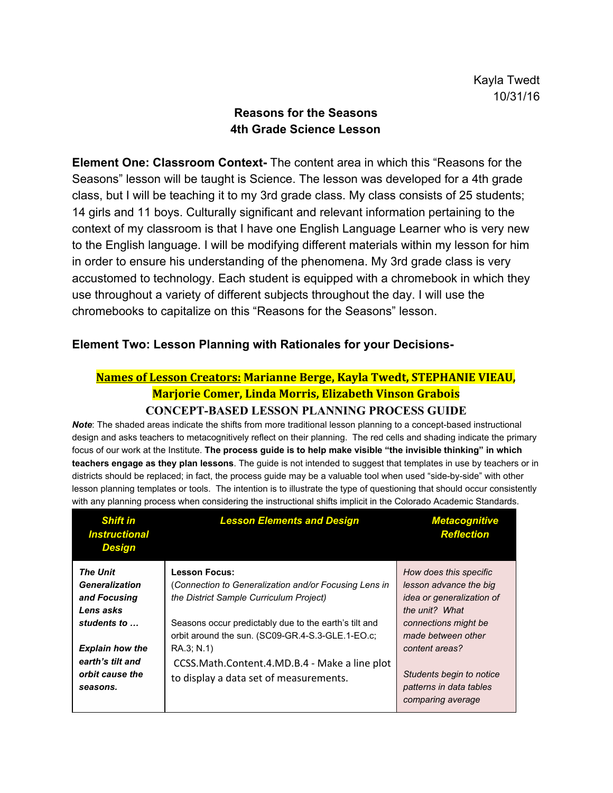# **Reasons for the Seasons 4th Grade Science Lesson**

**Element One: Classroom Context-** The content area in which this "Reasons for the Seasons" lesson will be taught is Science. The lesson was developed for a 4th grade class, but I will be teaching it to my 3rd grade class. My class consists of 25 students; 14 girls and 11 boys. Culturally significant and relevant information pertaining to the context of my classroom is that I have one English Language Learner who is very new to the English language. I will be modifying different materials within my lesson for him in order to ensure his understanding of the phenomena. My 3rd grade class is very accustomed to technology. Each student is equipped with a chromebook in which they use throughout a variety of different subjects throughout the day. I will use the chromebooks to capitalize on this "Reasons for the Seasons" lesson.

# **Element Two: Lesson Planning with Rationales for your Decisions-**

# **Names of Lesson Creators: Marianne Berge, Kayla Twedt, STEPHANIE VIEAU, Marjorie Comer, Linda Morris, Elizabeth Vinson Grabois**

#### **CONCEPT-BASED LESSON PLANNING PROCESS GUIDE**

 *Note*: The shaded areas indicate the shifts from more traditional lesson planning to a concept-based instructional design and asks teachers to metacognitively reflect on their planning. The red cells and shading indicate the primary focus of our work at the Institute. **The process guide is to help make visible "the invisible thinking" in which teachers engage as they plan lessons**. The guide is not intended to suggest that templates in use by teachers or in districts should be replaced; in fact, the process guide may be a valuable tool when used "side-by-side" with other lesson planning templates or tools. The intention is to illustrate the type of questioning that should occur consistently with any planning process when considering the instructional shifts implicit in the Colorado Academic Standards.

| <b>Shift in</b><br><b>Instructional</b><br><b>Design</b>                                 | <b>Lesson Elements and Design</b>                                                                                                                                                                                  | <b>Metacognitive</b><br><b>Reflection</b>                                                                                                |
|------------------------------------------------------------------------------------------|--------------------------------------------------------------------------------------------------------------------------------------------------------------------------------------------------------------------|------------------------------------------------------------------------------------------------------------------------------------------|
| <b>The Unit</b><br><b>Generalization</b><br>and Focusing<br>Lens asks                    | <b>Lesson Focus:</b><br>(Connection to Generalization and/or Focusing Lens in<br>the District Sample Curriculum Project)                                                                                           | How does this specific<br>lesson advance the big<br>idea or generalization of<br>the unit? What                                          |
| students to<br><b>Explain how the</b><br>earth's tilt and<br>orbit cause the<br>seasons. | Seasons occur predictably due to the earth's tilt and<br>orbit around the sun. (SC09-GR.4-S.3-GLE.1-EO.c;<br>RA.3; N.1)<br>CCSS.Math.Content.4.MD.B.4 - Make a line plot<br>to display a data set of measurements. | connections might be<br>made between other<br>content areas?<br>Students begin to notice<br>patterns in data tables<br>comparing average |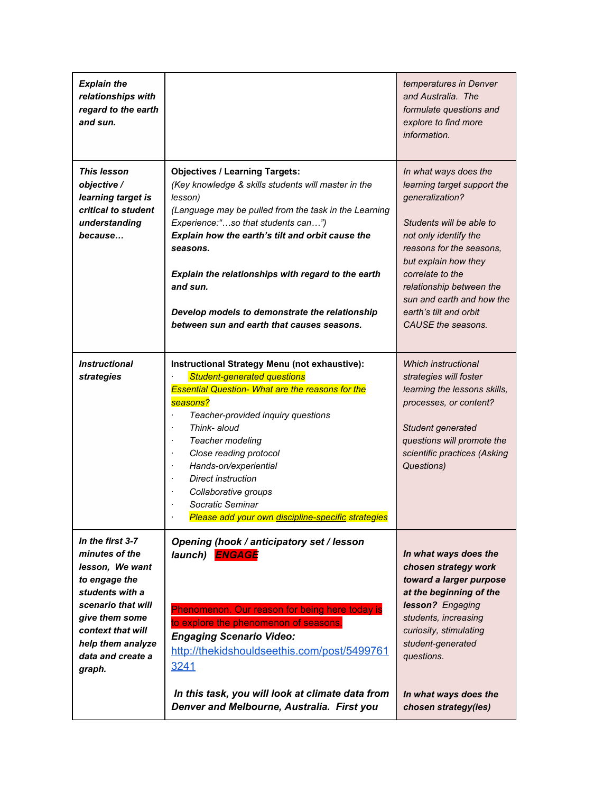| <b>Explain the</b><br>relationships with<br>regard to the earth<br>and sun.                                                                                                                                |                                                                                                                                                                                                                                                                                                                                                                                                                                                                        | temperatures in Denver<br>and Australia. The<br>formulate questions and<br>explore to find more<br>information.                                                                                                                                                                                               |
|------------------------------------------------------------------------------------------------------------------------------------------------------------------------------------------------------------|------------------------------------------------------------------------------------------------------------------------------------------------------------------------------------------------------------------------------------------------------------------------------------------------------------------------------------------------------------------------------------------------------------------------------------------------------------------------|---------------------------------------------------------------------------------------------------------------------------------------------------------------------------------------------------------------------------------------------------------------------------------------------------------------|
| <b>This lesson</b><br>objective /<br>learning target is<br>critical to student<br>understanding<br>because                                                                                                 | <b>Objectives / Learning Targets:</b><br>(Key knowledge & skills students will master in the<br>lesson)<br>(Language may be pulled from the task in the Learning<br>Experience:"so that students can")<br>Explain how the earth's tilt and orbit cause the<br>seasons.<br>Explain the relationships with regard to the earth<br>and sun.<br>Develop models to demonstrate the relationship<br>between sun and earth that causes seasons.                               | In what ways does the<br>learning target support the<br>generalization?<br>Students will be able to<br>not only identify the<br>reasons for the seasons,<br>but explain how they<br>correlate to the<br>relationship between the<br>sun and earth and how the<br>earth's tilt and orbit<br>CAUSE the seasons. |
| <i><b>Instructional</b></i><br>strategies                                                                                                                                                                  | Instructional Strategy Menu (not exhaustive):<br><b>Student-generated questions</b><br><b>Essential Question- What are the reasons for the</b><br>seasons?<br>Teacher-provided inquiry questions<br>$\cdot$<br>Think- aloud<br>$\cdot$<br>Teacher modeling<br>$\cdot$<br>Close reading protocol<br>Hands-on/experiential<br>$\cdot$<br>Direct instruction<br>Collaborative groups<br>$\cdot$<br>Socratic Seminar<br>Please add your own discipline-specific strategies | Which instructional<br>strategies will foster<br>learning the lessons skills,<br>processes, or content?<br>Student generated<br>questions will promote the<br>scientific practices (Asking<br>Questions)                                                                                                      |
| In the first 3-7<br>minutes of the<br>lesson, We want<br>to engage the<br>students with a<br>scenario that will<br>give them some<br>context that will<br>help them analyze<br>data and create a<br>graph. | Opening (hook / anticipatory set / lesson<br>launch) <b>ENGAGE</b><br>Phenomenon. Our reason for being here today is<br>to explore the phenomenon of seasons.<br><b>Engaging Scenario Video:</b><br>http://thekidshouldseethis.com/post/5499761<br>3241                                                                                                                                                                                                                | In what ways does the<br>chosen strategy work<br>toward a larger purpose<br>at the beginning of the<br>lesson? Engaging<br>students, increasing<br>curiosity, stimulating<br>student-generated<br>questions.                                                                                                  |
|                                                                                                                                                                                                            | In this task, you will look at climate data from<br>Denver and Melbourne, Australia. First you                                                                                                                                                                                                                                                                                                                                                                         | In what ways does the<br>chosen strategy(ies)                                                                                                                                                                                                                                                                 |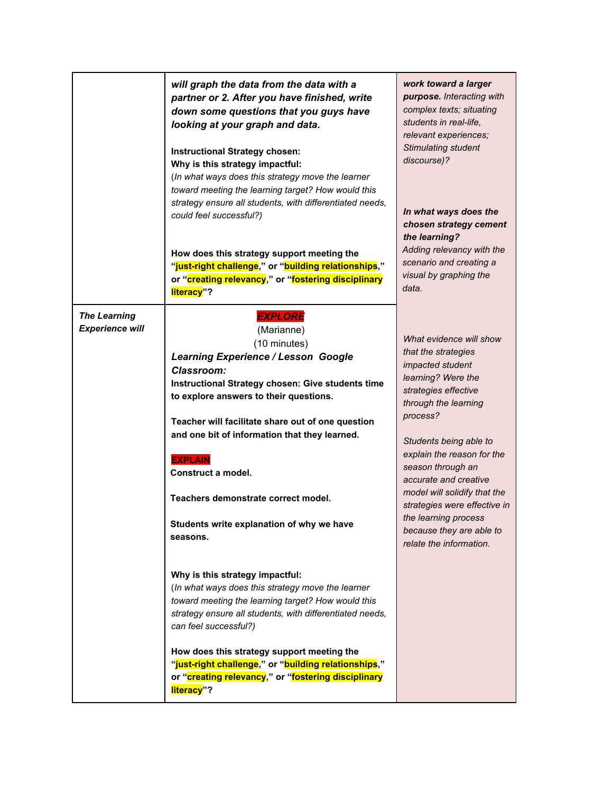|                                               | will graph the data from the data with a<br>partner or 2. After you have finished, write<br>down some questions that you guys have<br>looking at your graph and data.<br>Instructional Strategy chosen:<br>Why is this strategy impactful:<br>(In what ways does this strategy move the learner<br>toward meeting the learning target? How would this                                                                                                        | work toward a larger<br>purpose. Interacting with<br>complex texts; situating<br>students in real-life,<br>relevant experiences;<br>Stimulating student<br>discourse)?                                                                                                                                                                                                                                           |
|-----------------------------------------------|--------------------------------------------------------------------------------------------------------------------------------------------------------------------------------------------------------------------------------------------------------------------------------------------------------------------------------------------------------------------------------------------------------------------------------------------------------------|------------------------------------------------------------------------------------------------------------------------------------------------------------------------------------------------------------------------------------------------------------------------------------------------------------------------------------------------------------------------------------------------------------------|
|                                               | strategy ensure all students, with differentiated needs,<br>could feel successful?)<br>How does this strategy support meeting the<br>"just-right challenge," or "building relationships,"<br>or "creating relevancy," or "fostering disciplinary<br>literacy"?                                                                                                                                                                                               | In what ways does the<br>chosen strategy cement<br>the learning?<br>Adding relevancy with the<br>scenario and creating a<br>visual by graphing the<br>data.                                                                                                                                                                                                                                                      |
| <b>The Learning</b><br><b>Experience will</b> | <b>EXPLORE</b><br>(Marianne)<br>(10 minutes)<br><b>Learning Experience / Lesson Google</b><br><b>Classroom:</b><br>Instructional Strategy chosen: Give students time<br>to explore answers to their questions.<br>Teacher will facilitate share out of one question<br>and one bit of information that they learned.<br><b>EXPLAIN</b><br>Construct a model.<br>Teachers demonstrate correct model.<br>Students write explanation of why we have<br>seasons. | What evidence will show<br>that the strategies<br><i>impacted</i> student<br>learning? Were the<br>strategies effective<br>through the learning<br>process?<br>Students being able to<br>explain the reason for the<br>season through an<br>accurate and creative<br>model will solidify that the<br>strategies were effective in<br>the learning process<br>because they are able to<br>relate the information. |
|                                               | Why is this strategy impactful:<br>(In what ways does this strategy move the learner<br>toward meeting the learning target? How would this<br>strategy ensure all students, with differentiated needs,<br>can feel successful?)                                                                                                                                                                                                                              |                                                                                                                                                                                                                                                                                                                                                                                                                  |
|                                               | How does this strategy support meeting the<br>"just-right challenge," or "building relationships,"<br>or "creating relevancy," or "fostering disciplinary<br>literacy"?                                                                                                                                                                                                                                                                                      |                                                                                                                                                                                                                                                                                                                                                                                                                  |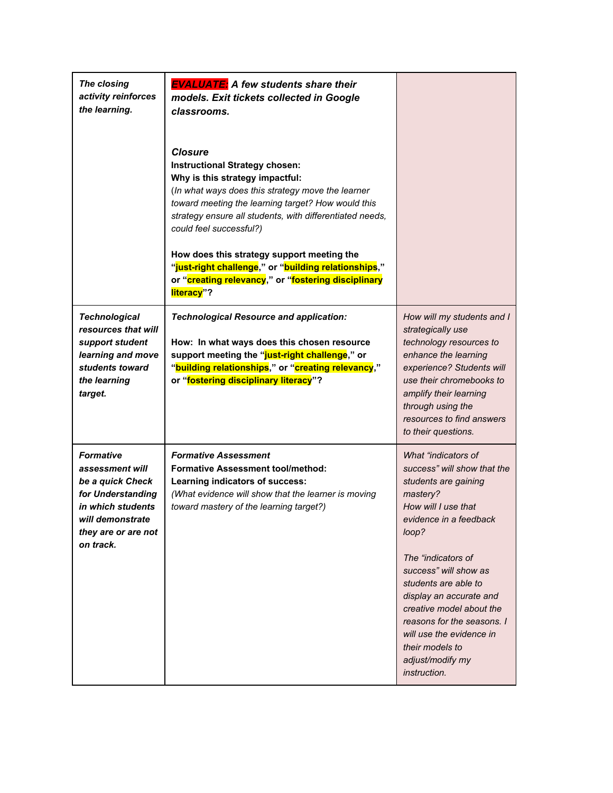| The closing<br>activity reinforces<br>the learning.                                                                                                       | <b>EVALUATE:</b> A few students share their<br>models. Exit tickets collected in Google<br>classrooms.<br><b>Closure</b><br><b>Instructional Strategy chosen:</b><br>Why is this strategy impactful:<br>(In what ways does this strategy move the learner<br>toward meeting the learning target? How would this<br>strategy ensure all students, with differentiated needs,<br>could feel successful?)<br>How does this strategy support meeting the<br>"just-right challenge," or "building relationships,"<br>or "creating relevancy," or "fostering disciplinary<br>literacy"? |                                                                                                                                                                                                                                                                                                                                                                                                 |
|-----------------------------------------------------------------------------------------------------------------------------------------------------------|-----------------------------------------------------------------------------------------------------------------------------------------------------------------------------------------------------------------------------------------------------------------------------------------------------------------------------------------------------------------------------------------------------------------------------------------------------------------------------------------------------------------------------------------------------------------------------------|-------------------------------------------------------------------------------------------------------------------------------------------------------------------------------------------------------------------------------------------------------------------------------------------------------------------------------------------------------------------------------------------------|
| <b>Technological</b><br>resources that will<br>support student<br>learning and move<br>students toward<br>the learning<br>target.                         | <b>Technological Resource and application:</b><br>How: In what ways does this chosen resource<br>support meeting the "just-right challenge," or<br>"building relationships," or "creating relevancy,"<br>or "fostering disciplinary literacy"?                                                                                                                                                                                                                                                                                                                                    | How will my students and I<br>strategically use<br>technology resources to<br>enhance the learning<br>experience? Students will<br>use their chromebooks to<br>amplify their learning<br>through using the<br>resources to find answers<br>to their questions.                                                                                                                                  |
| <b>Formative</b><br>assessment will<br>be a quick Check<br>for Understanding<br>in which students<br>will demonstrate<br>they are or are not<br>on track. | <b>Formative Assessment</b><br><b>Formative Assessment tool/method:</b><br>Learning indicators of success:<br>(What evidence will show that the learner is moving<br>toward mastery of the learning target?)                                                                                                                                                                                                                                                                                                                                                                      | What "indicators of<br>success" will show that the<br>students are gaining<br>mastery?<br>How will I use that<br>evidence in a feedback<br>loop?<br>The "indicators of<br>success" will show as<br>students are able to<br>display an accurate and<br>creative model about the<br>reasons for the seasons. I<br>will use the evidence in<br>their models to<br>adjust/modify my<br>instruction. |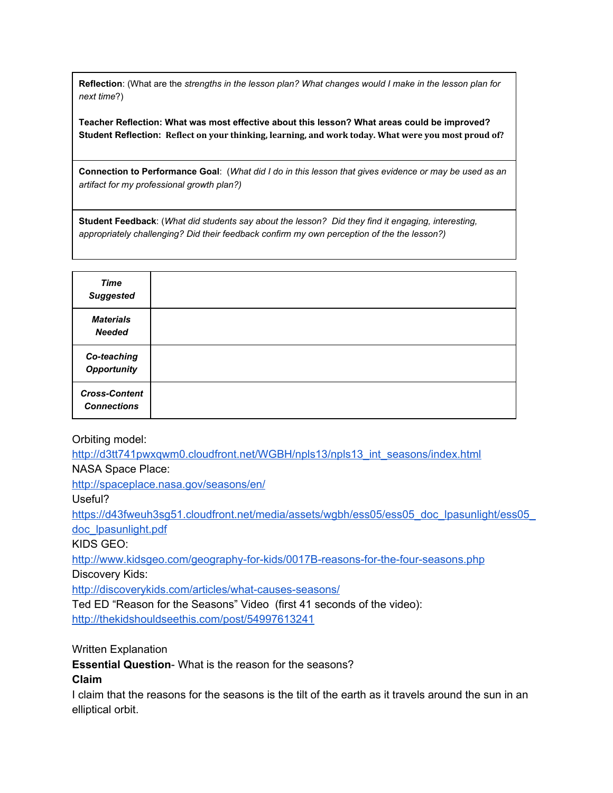**Reflection**: (What are the *strengths in the lesson plan? What changes would I make in the lesson plan for next time*?)

**Teacher Reflection: What was most effective about this lesson? What areas could be improved? Student Reflection: Reflect on your thinking, learning, and work today. What were you most proud of?**

**Connection to Performance Goal**: (*What did I do in this lesson that gives evidence or may be used as an artifact for my professional growth plan?)*

**Student Feedback**: (*What did students say about the lesson? Did they find it engaging, interesting, appropriately challenging? Did their feedback confirm my own perception of the the lesson?)*

| <b>Time</b><br><b>Suggested</b>            |  |
|--------------------------------------------|--|
| <b>Materials</b><br><b>Needed</b>          |  |
| Co-teaching<br><b>Opportunity</b>          |  |
| <b>Cross-Content</b><br><b>Connections</b> |  |

#### Orbiting model:

[http://d3tt741pwxqwm0.cloudfront.net/WGBH/npls13/npls13\\_int\\_seasons/index.html](http://d3tt741pwxqwm0.cloudfront.net/WGBH/npls13/npls13_int_seasons/index.html) NASA Space Place:

<http://spaceplace.nasa.gov/seasons/en/>

Useful?

https://d43fweuh3sg51.cloudfront.net/media/assets/wgbh/ess05/ess05\_doc\_lpasunlight/ess05 [doc\\_lpasunlight.pdf](https://d43fweuh3sg51.cloudfront.net/media/assets/wgbh/ess05/ess05_doc_lpasunlight/ess05_doc_lpasunlight.pdf)

KIDS GEO:

<http://www.kidsgeo.com/geography-for-kids/0017B-reasons-for-the-four-seasons.php>

Discovery Kids:

<http://discoverykids.com/articles/what-causes-seasons/>

Ted ED "Reason for the Seasons" Video (first 41 seconds of the video): <http://thekidshouldseethis.com/post/54997613241>

Written Explanation

**Essential Question**- What is the reason for the seasons?

**Claim**

I claim that the reasons for the seasons is the tilt of the earth as it travels around the sun in an elliptical orbit.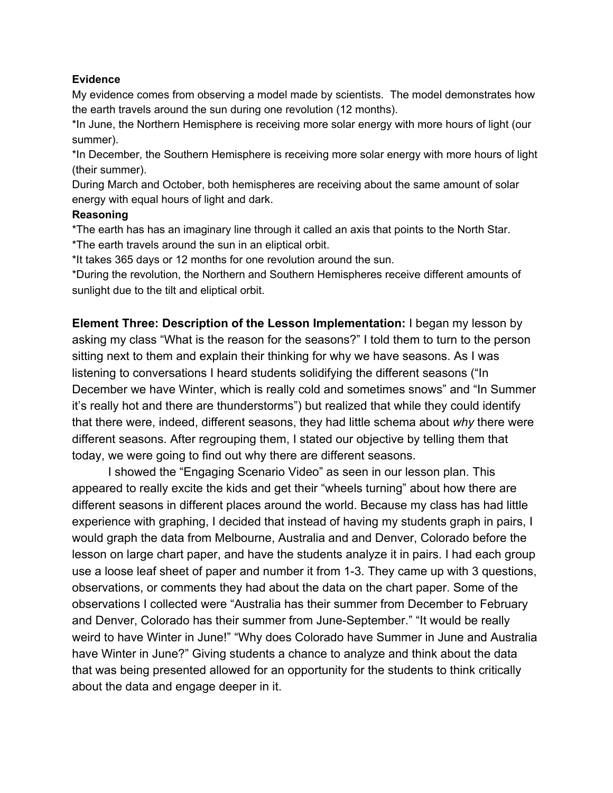## **Evidence**

My evidence comes from observing a model made by scientists. The model demonstrates how the earth travels around the sun during one revolution (12 months).

\*In June, the Northern Hemisphere is receiving more solar energy with more hours of light (our summer).

\*In December, the Southern Hemisphere is receiving more solar energy with more hours of light (their summer).

During March and October, both hemispheres are receiving about the same amount of solar energy with equal hours of light and dark.

### **Reasoning**

\*The earth has has an imaginary line through it called an axis that points to the North Star. \*The earth travels around the sun in an eliptical orbit.

\*It takes 365 days or 12 months for one revolution around the sun.

\*During the revolution, the Northern and Southern Hemispheres receive different amounts of sunlight due to the tilt and eliptical orbit.

**Element Three: Description of the Lesson Implementation:** I began my lesson by asking my class "What is the reason for the seasons?" I told them to turn to the person sitting next to them and explain their thinking for why we have seasons. As I was listening to conversations I heard students solidifying the different seasons ("In December we have Winter, which is really cold and sometimes snows" and "In Summer it's really hot and there are thunderstorms") but realized that while they could identify that there were, indeed, different seasons, they had little schema about *why* there were different seasons. After regrouping them, I stated our objective by telling them that today, we were going to find out why there are different seasons.

I showed the "Engaging Scenario Video" as seen in our lesson plan. This appeared to really excite the kids and get their "wheels turning" about how there are different seasons in different places around the world. Because my class has had little experience with graphing, I decided that instead of having my students graph in pairs, I would graph the data from Melbourne, Australia and and Denver, Colorado before the lesson on large chart paper, and have the students analyze it in pairs. I had each group use a loose leaf sheet of paper and number it from 1-3. They came up with 3 questions, observations, or comments they had about the data on the chart paper. Some of the observations I collected were "Australia has their summer from December to February and Denver, Colorado has their summer from June-September." "It would be really weird to have Winter in June!" "Why does Colorado have Summer in June and Australia have Winter in June?" Giving students a chance to analyze and think about the data that was being presented allowed for an opportunity for the students to think critically about the data and engage deeper in it.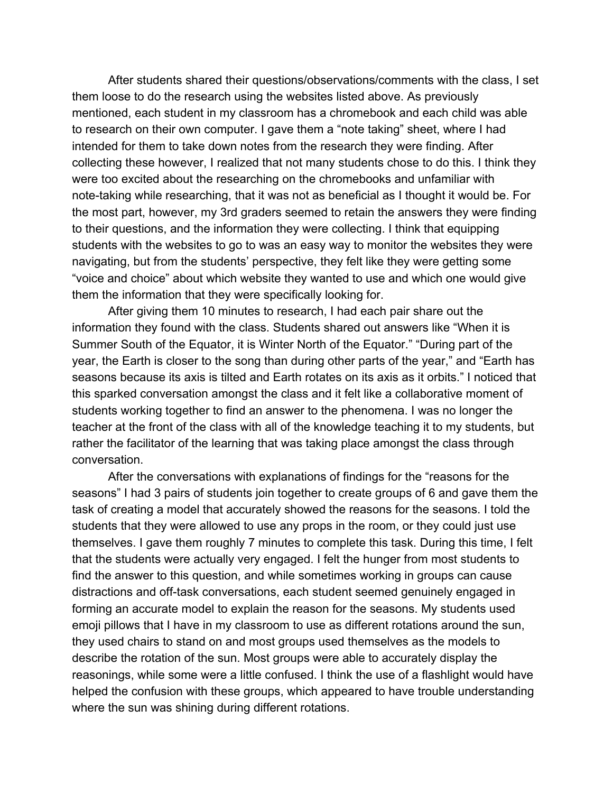After students shared their questions/observations/comments with the class, I set them loose to do the research using the websites listed above. As previously mentioned, each student in my classroom has a chromebook and each child was able to research on their own computer. I gave them a "note taking" sheet, where I had intended for them to take down notes from the research they were finding. After collecting these however, I realized that not many students chose to do this. I think they were too excited about the researching on the chromebooks and unfamiliar with note-taking while researching, that it was not as beneficial as I thought it would be. For the most part, however, my 3rd graders seemed to retain the answers they were finding to their questions, and the information they were collecting. I think that equipping students with the websites to go to was an easy way to monitor the websites they were navigating, but from the students' perspective, they felt like they were getting some "voice and choice" about which website they wanted to use and which one would give them the information that they were specifically looking for.

After giving them 10 minutes to research, I had each pair share out the information they found with the class. Students shared out answers like "When it is Summer South of the Equator, it is Winter North of the Equator." "During part of the year, the Earth is closer to the song than during other parts of the year," and "Earth has seasons because its axis is tilted and Earth rotates on its axis as it orbits." I noticed that this sparked conversation amongst the class and it felt like a collaborative moment of students working together to find an answer to the phenomena. I was no longer the teacher at the front of the class with all of the knowledge teaching it to my students, but rather the facilitator of the learning that was taking place amongst the class through conversation.

After the conversations with explanations of findings for the "reasons for the seasons" I had 3 pairs of students join together to create groups of 6 and gave them the task of creating a model that accurately showed the reasons for the seasons. I told the students that they were allowed to use any props in the room, or they could just use themselves. I gave them roughly 7 minutes to complete this task. During this time, I felt that the students were actually very engaged. I felt the hunger from most students to find the answer to this question, and while sometimes working in groups can cause distractions and off-task conversations, each student seemed genuinely engaged in forming an accurate model to explain the reason for the seasons. My students used emoji pillows that I have in my classroom to use as different rotations around the sun, they used chairs to stand on and most groups used themselves as the models to describe the rotation of the sun. Most groups were able to accurately display the reasonings, while some were a little confused. I think the use of a flashlight would have helped the confusion with these groups, which appeared to have trouble understanding where the sun was shining during different rotations.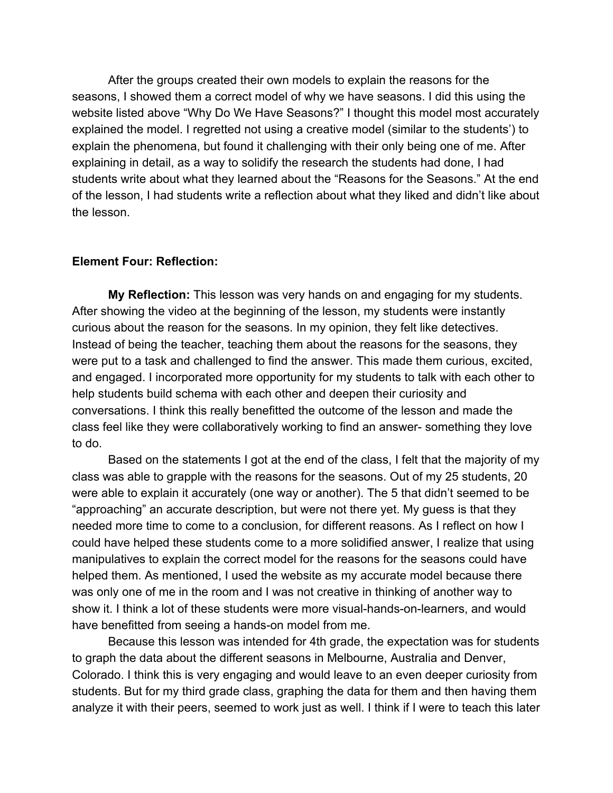After the groups created their own models to explain the reasons for the seasons, I showed them a correct model of why we have seasons. I did this using the website listed above "Why Do We Have Seasons?" I thought this model most accurately explained the model. I regretted not using a creative model (similar to the students') to explain the phenomena, but found it challenging with their only being one of me. After explaining in detail, as a way to solidify the research the students had done, I had students write about what they learned about the "Reasons for the Seasons." At the end of the lesson, I had students write a reflection about what they liked and didn't like about the lesson.

## **Element Four: Reflection:**

**My Reflection:** This lesson was very hands on and engaging for my students. After showing the video at the beginning of the lesson, my students were instantly curious about the reason for the seasons. In my opinion, they felt like detectives. Instead of being the teacher, teaching them about the reasons for the seasons, they were put to a task and challenged to find the answer. This made them curious, excited, and engaged. I incorporated more opportunity for my students to talk with each other to help students build schema with each other and deepen their curiosity and conversations. I think this really benefitted the outcome of the lesson and made the class feel like they were collaboratively working to find an answer- something they love to do.

Based on the statements I got at the end of the class, I felt that the majority of my class was able to grapple with the reasons for the seasons. Out of my 25 students, 20 were able to explain it accurately (one way or another). The 5 that didn't seemed to be "approaching" an accurate description, but were not there yet. My guess is that they needed more time to come to a conclusion, for different reasons. As I reflect on how I could have helped these students come to a more solidified answer, I realize that using manipulatives to explain the correct model for the reasons for the seasons could have helped them. As mentioned, I used the website as my accurate model because there was only one of me in the room and I was not creative in thinking of another way to show it. I think a lot of these students were more visual-hands-on-learners, and would have benefitted from seeing a hands-on model from me.

Because this lesson was intended for 4th grade, the expectation was for students to graph the data about the different seasons in Melbourne, Australia and Denver, Colorado. I think this is very engaging and would leave to an even deeper curiosity from students. But for my third grade class, graphing the data for them and then having them analyze it with their peers, seemed to work just as well. I think if I were to teach this later